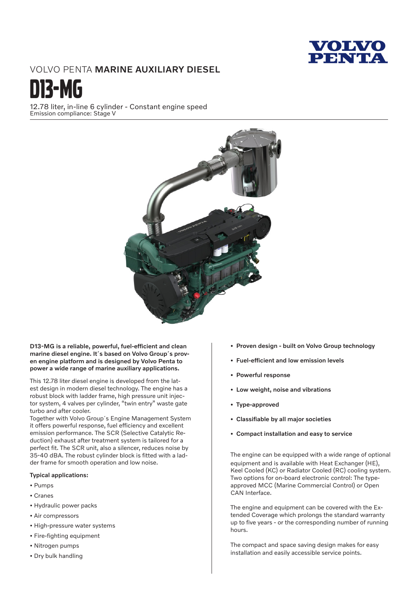

# VOLVO PENTA MARINE AUXILIARY DIESEL



12.78 liter, in-line 6 cylinder - Constant engine speed Emission compliance: Stage V



D13-MG is a reliable, powerful, fuel-efficient and clean marine diesel engine. It´s based on Volvo Group´s proven engine platform and is designed by Volvo Penta to power a wide range of marine auxiliary applications.

This 12.78 liter diesel engine is developed from the latest design in modern diesel technology. The engine has a robust block with ladder frame, high pressure unit injector system, 4 valves per cylinder, "twin entry" waste gate turbo and after cooler.

Together with Volvo Group´s Engine Management System it offers powerful response, fuel efficiency and excellent emission performance. The SCR (Selective Catalytic Reduction) exhaust after treatment system is tailored for a perfect fit. The SCR unit, also a silencer, reduces noise by 35-40 dBA. The robust cylinder block is fitted with a ladder frame for smooth operation and low noise.

### Typical applications:

- Pumps
- Cranes
- Hydraulic power packs
- Air compressors
- High-pressure water systems
- Fire-fighting equipment
- Nitrogen pumps
- Dry bulk handling
- Proven design built on Volvo Group technology
- Fuel-efficient and low emission levels
- Powerful response
- Low weight, noise and vibrations
- Type-approved
- Classifiable by all major societies
- Compact installation and easy to service

The engine can be equipped with a wide range of optional equipment and is available with Heat Exchanger (HE), Keel Cooled (KC) or Radiator Cooled (RC) cooling system. Two options for on-board electronic control: The typeapproved MCC (Marine Commercial Control) or Open CAN Interface.

The engine and equipment can be covered with the Extended Coverage which prolongs the standard warranty up to five years - or the corresponding number of running hours.

The compact and space saving design makes for easy installation and easily accessible service points.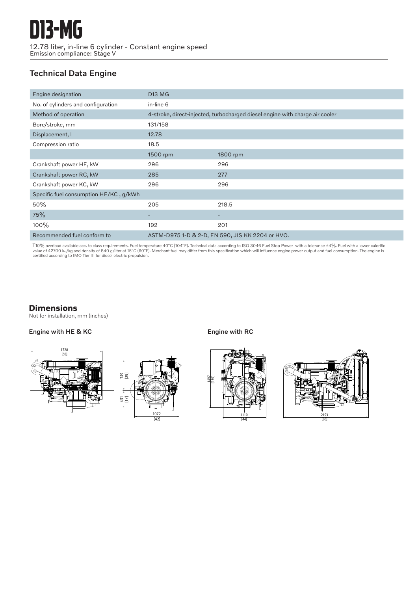# Technical Data Engine

| Engine designation                     | <b>D13 MG</b>                                                                |          |
|----------------------------------------|------------------------------------------------------------------------------|----------|
| No. of cylinders and configuration     | in-line 6                                                                    |          |
| Method of operation                    | 4-stroke, direct-injected, turbocharged diesel engine with charge air cooler |          |
| Bore/stroke, mm                        | 131/158                                                                      |          |
| Displacement, I                        | 12.78                                                                        |          |
| Compression ratio                      | 18.5                                                                         |          |
|                                        | 1500 rpm                                                                     | 1800 rpm |
| Crankshaft power HE, kW                | 296                                                                          | 296      |
| Crankshaft power RC, kW                | 285                                                                          | 277      |
| Crankshaft power KC, kW                | 296                                                                          | 296      |
| Specific fuel consumption HE/KC, g/kWh |                                                                              |          |
| 50%                                    | 205                                                                          | 218.5    |
| 75%                                    |                                                                              |          |
| 100%                                   | 192                                                                          | 201      |
| Recommended fuel conform to            | ASTM-D975 1-D & 2-D, EN 590, JIS KK 2204 or HVO.                             |          |

T10% overload available acc. to class requirements. Fuel temperature 40°C (104°F). Technical data according to ISO 3046 Fuel Stop Power with a tolerance ±4%. Fuel with a lower calorific<br>value of 42700 kJ/kg and density of

## **Dimensions**

Not for installation, mm (inches)

## Engine with HE & KC **Engine with RC** Engine with RC